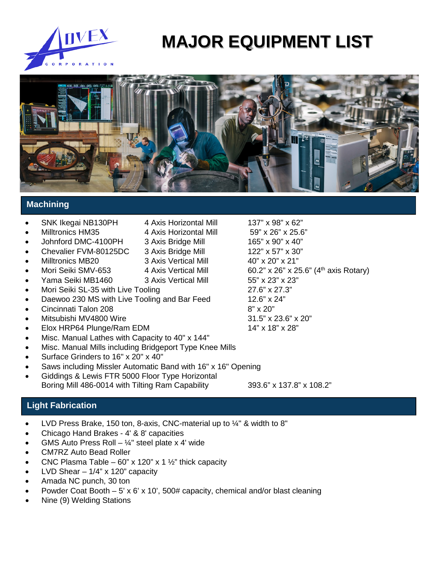

# **MAJOR EQUIPMENT LIST**



# **Machining**

### • SNK Ikegai NB130PH 4 Axis Horizontal Mill 137" x 98" x 62"

- Milltronics HM35 4 Axis Horizontal Mill 59" x 26" x 25.6"
- Johnford DMC-4100PH 3 Axis Bridge Mill 165" x 90" x 40"
- 
- 
- 
- Yama Seiki MB1460 3 Axis Vertical Mill 55" x 23" x 23"
- Mori Seiki SL-35 with Live Tooling 27.6" x 27.3"
- Daewoo 230 MS with Live Tooling and Bar Feed 12.6" x 24"
- Cincinnati Talon 208 8" x 20"
- 
- Elox HRP64 Plunge/Ram EDM
- Misc. Manual Lathes with Capacity to 40" x 144"
- Misc. Manual Mills including Bridgeport Type Knee Mills
- Surface Grinders to 16" x 20" x 40"
- Saws including Missler Automatic Band with 16" x 16" Opening
- Giddings & Lewis FTR 5000 Floor Type Horizontal Boring Mill 486-0014 with Tilting Ram Capability 393.6" x 137.8" x 108.2"

# **Light Fabrication**

- LVD Press Brake, 150 ton, 8-axis, CNC-material up to ¼" & width to 8"
- Chicago Hand Brakes 4' & 8' capacities
- GMS Auto Press Roll  $\frac{1}{4}$ " steel plate x 4' wide
- CM7RZ Auto Bead Roller
- CNC Plasma Table 60" x 120" x 1  $\frac{1}{2}$ " thick capacity
- LVD Shear  $-1/4$ " x 120" capacity
- Amada NC punch, 30 ton
- Powder Coat Booth 5' x 6' x 10', 500# capacity, chemical and/or blast cleaning

3 Axis Vertical Mill

• Nine (9) Welding Stations

• Chevalier FVM-80125DC 3 Axis Bridge Mill 122" x 57" x 30" Mori Seiki SMV-653 4 Axis Vertical Mill 60.2" x 26" x 25.6" (4<sup>th</sup> axis Rotary) Mitsubishi MV4800 Wire 31.5" x 23.6" x 20"<br>
Elox HRP64 Plunge/Ram EDM 31.5" x 18" x 18" x 28"